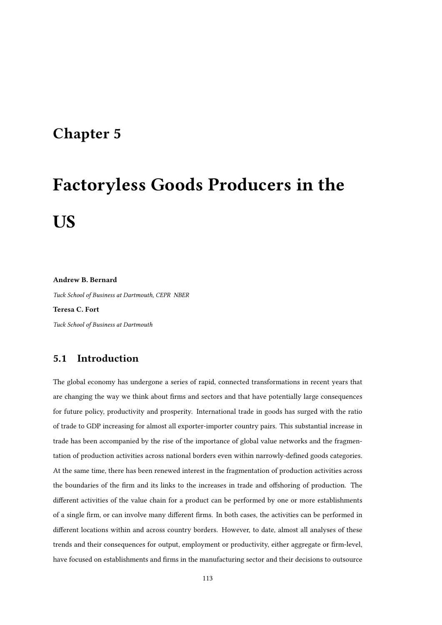# Chapter 5

# Factoryless Goods Producers in the US

#### Andrew B. Bernard

Tuck School of Business at Dartmouth, CEPR NBER

Teresa C. Fort Tuck School of Business at Dartmouth

# 5.1 Introduction

The global economy has undergone a series of rapid, connected transformations in recent years that are changing the way we think about firms and sectors and that have potentially large consequences for future policy, productivity and prosperity. International trade in goods has surged with the ratio of trade to GDP increasing for almost all exporter-importer country pairs. This substantial increase in trade has been accompanied by the rise of the importance of global value networks and the fragmentation of production activities across national borders even within narrowly-defined goods categories. At the same time, there has been renewed interest in the fragmentation of production activities across the boundaries of the firm and its links to the increases in trade and offshoring of production. The different activities of the value chain for a product can be performed by one or more establishments of a single firm, or can involve many different firms. In both cases, the activities can be performed in different locations within and across country borders. However, to date, almost all analyses of these trends and their consequences for output, employment or productivity, either aggregate or firm-level, have focused on establishments and firms in the manufacturing sector and their decisions to outsource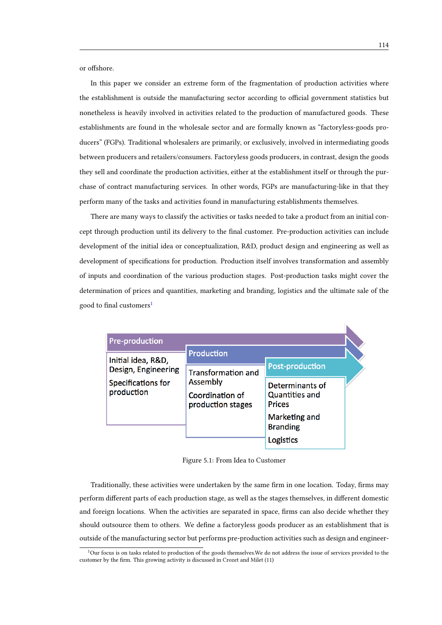or offshore.

In this paper we consider an extreme form of the fragmentation of production activities where the establishment is outside the manufacturing sector according to official government statistics but nonetheless is heavily involved in activities related to the production of manufactured goods. These establishments are found in the wholesale sector and are formally known as "factoryless-goods producers" (FGPs). Traditional wholesalers are primarily, or exclusively, involved in intermediating goods between producers and retailers/consumers. Factoryless goods producers, in contrast, design the goods they sell and coordinate the production activities, either at the establishment itself or through the purchase of contract manufacturing services. In other words, FGPs are manufacturing-like in that they perform many of the tasks and activities found in manufacturing establishments themselves.

There are many ways to classify the activities or tasks needed to take a product from an initial concept through production until its delivery to the final customer. Pre-production activities can include development of the initial idea or conceptualization, R&D, product design and engineering as well as development of specifications for production. Production itself involves transformation and assembly of inputs and coordination of the various production stages. Post-production tasks might cover the determination of prices and quantities, marketing and branding, logistics and the ultimate sale of the good to final customers<sup>1</sup>

| <b>Pre-production</b>                     |                                                  |                                                           |
|-------------------------------------------|--------------------------------------------------|-----------------------------------------------------------|
| Initial idea, R&D,<br>Design, Engineering | <b>Production</b><br><b>Transformation and</b>   | <b>Post-production</b>                                    |
| Specifications for<br>production          | Assembly<br>Coordination of<br>production stages | Determinants of<br><b>Quantities and</b><br><b>Prices</b> |
|                                           |                                                  | Marketing and<br><b>Branding</b>                          |
|                                           |                                                  | Logistics                                                 |

Figure 5.1: From Idea to Customer

Traditionally, these activities were undertaken by the same firm in one location. Today, firms may perform different parts of each production stage, as well as the stages themselves, in different domestic and foreign locations. When the activities are separated in space, firms can also decide whether they should outsource them to others. We define a factoryless goods producer as an establishment that is outside of the manufacturing sector but performs pre-production activities such as design and engineer-

<sup>&</sup>lt;sup>1</sup>Our focus is on tasks related to production of the goods themselves.We do not address the issue of services provided to the customer by the firm. This growing activity is discussed in Crozet and Milet (11)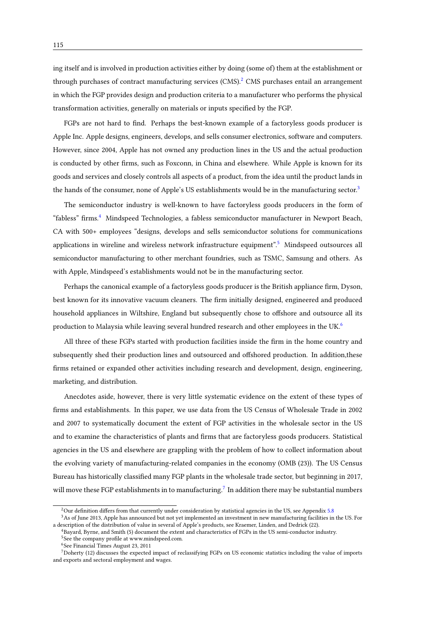ing itself and is involved in production activities either by doing (some of) them at the establishment or through purchases of contract manufacturing services  $(CMS)<sup>2</sup>$  CMS purchases entail an arrangement in which the FGP provides design and production criteria to a manufacturer who performs the physical transformation activities, generally on materials or inputs specified by the FGP.

FGPs are not hard to find. Perhaps the best-known example of a factoryless goods producer is Apple Inc. Apple designs, engineers, develops, and sells consumer electronics, software and computers. However, since 2004, Apple has not owned any production lines in the US and the actual production is conducted by other firms, such as Foxconn, in China and elsewhere. While Apple is known for its goods and services and closely controls all aspects of a product, from the idea until the product lands in the hands of the consumer, none of Apple's US establishments would be in the manufacturing sector.<sup>3</sup>

The semiconductor industry is well-known to have factoryless goods producers in the form of "fabless" firms.<sup>4</sup> Mindspeed Technologies, a fabless semiconductor manufacturer in Newport Beach, CA with 500+ employees "designs, develops and sells semiconductor solutions for communications applications in wireline and wireless network infrastructure equipment".5 Mindspeed outsources all semiconductor manufacturing to other merchant foundries, such as TSMC, Samsung and others. As with Apple, Mindspeed's establishments would not be in the manufacturing sector.

Perhaps the canonical example of a factoryless goods producer is the British appliance firm, Dyson, best known for its innovative vacuum cleaners. The firm initially designed, engineered and produced household appliances in Wiltshire, England but subsequently chose to offshore and outsource all its production to Malaysia while leaving several hundred research and other employees in the UK.6

All three of these FGPs started with production facilities inside the firm in the home country and subsequently shed their production lines and outsourced and offshored production. In addition,these firms retained or expanded other activities including research and development, design, engineering, marketing, and distribution.

Anecdotes aside, however, there is very little systematic evidence on the extent of these types of firms and establishments. In this paper, we use data from the US Census of Wholesale Trade in 2002 and 2007 to systematically document the extent of FGP activities in the wholesale sector in the US and to examine the characteristics of plants and firms that are factoryless goods producers. Statistical agencies in the US and elsewhere are grappling with the problem of how to collect information about the evolving variety of manufacturing-related companies in the economy (OMB (23)). The US Census Bureau has historically classified many FGP plants in the wholesale trade sector, but beginning in 2017, will move these FGP establishments in to manufacturing.<sup>7</sup> In addition there may be substantial numbers

 $2$ Our definition differs from that currently under consideration by statistical agencies in the US, see Appendix 5.8

<sup>&</sup>lt;sup>3</sup>As of June 2013, Apple has announced but not yet implemented an investment in new manufacturing facilities in the US. For a description of the distribution of value in several of Apple's products, see Kraemer, Linden, and Dedrick (22).

<sup>4</sup>Bayard, Byrne, and Smith (5) document the extent and characteristics of FGPs in the US semi-conductor industry.

 $5$ See the company profile at www.mindspeed.com.

<sup>6</sup>See Financial Times August 23, 2011

<sup>7</sup>Doherty (12) discusses the expected impact of reclassifying FGPs on US economic statistics including the value of imports and exports and sectoral employment and wages.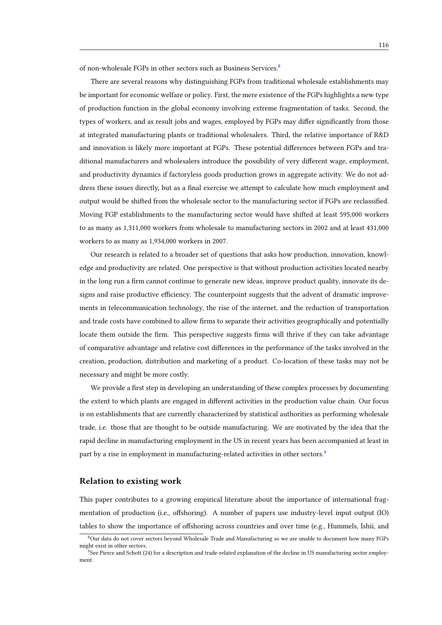of non-wholesale FGPs in other sectors such as Business Services.8

There are several reasons why distinguishing FGPs from traditional wholesale establishments may be important for economic welfare or policy. First, the mere existence of the FGPs highlights a new type of production function in the global economy involving extreme fragmentation of tasks. Second, the types of workers, and as result jobs and wages, employed by FGPs may differ significantly from those at integrated manufacturing plants or traditional wholesalers. Third, the relative importance of R&D and innovation is likely more important at FGPs. These potential differences between FGPs and traditional manufacturers and wholesalers introduce the possibility of very different wage, employment, and productivity dynamics if factoryless goods production grows in aggregate activity. We do not address these issues directly, but as a final exercise we attempt to calculate how much employment and output would be shifted from the wholesale sector to the manufacturing sector if FGPs are reclassified. Moving FGP establishments to the manufacturing sector would have shifted at least 595,000 workers to as many as 1,311,000 workers from wholesale to manufacturing sectors in 2002 and at least 431,000 workers to as many as 1,934,000 workers in 2007.

Our research is related to a broader set of questions that asks how production, innovation, knowledge and productivity are related. One perspective is that without production activities located nearby in the long run a firm cannot continue to generate new ideas, improve product quality, innovate its designs and raise productive efficiency. The counterpoint suggests that the advent of dramatic improvements in telecommunication technology, the rise of the internet, and the reduction of transportation and trade costs have combined to allow firms to separate their activities geographically and potentially locate them outside the firm. This perspective suggests firms will thrive if they can take advantage of comparative advantage and relative cost differences in the performance of the tasks involved in the creation, production, distribution and marketing of a product. Co-location of these tasks may not be necessary and might be more costly.

We provide a first step in developing an understanding of these complex processes by documenting the extent to which plants are engaged in different activities in the production value chain. Our focus is on establishments that are currently characterized by statistical authorities as performing wholesale trade, i.e. those that are thought to be outside manufacturing. We are motivated by the idea that the rapid decline in manufacturing employment in the US in recent years has been accompanied at least in part by a rise in employment in manufacturing-related activities in other sectors.<sup>9</sup>

#### Relation to existing work

This paper contributes to a growing empirical literature about the importance of international fragmentation of production (i.e., offshoring). A number of papers use industry-level input output (IO) tables to show the importance of offshoring across countries and over time  $(e.g.,$  Hummels, Ishii, and

<sup>8</sup>Our data do not cover sectors beyond Wholesale Trade and Manufacturing so we are unable to document how many FGPs might exist in other sectors.

 $9$ See Pierce and Schott (24) for a description and trade-related explanation of the decline in US manufacturing sector employment.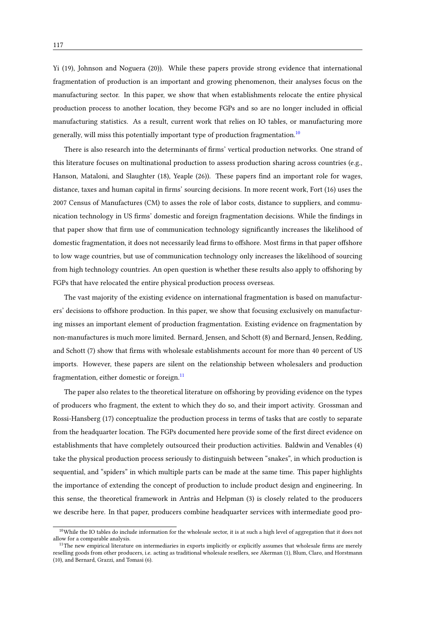Yi (19), Johnson and Noguera (20)). While these papers provide strong evidence that international fragmentation of production is an important and growing phenomenon, their analyses focus on the manufacturing sector. In this paper, we show that when establishments relocate the entire physical production process to another location, they become FGPs and so are no longer included in official manufacturing statistics. As a result, current work that relies on IO tables, or manufacturing more generally, will miss this potentially important type of production fragmentation.<sup>10</sup>

There is also research into the determinants of firms' vertical production networks. One strand of this literature focuses on multinational production to assess production sharing across countries (e.g., Hanson, Mataloni, and Slaughter  $(18)$ , Yeaple  $(26)$ ). These papers find an important role for wages, distance, taxes and human capital in firms' sourcing decisions. In more recent work, Fort (16) uses the 2007 Census of Manufactures (CM) to asses the role of labor costs, distance to suppliers, and communication technology in US firms' domestic and foreign fragmentation decisions. While the findings in that paper show that firm use of communication technology significantly increases the likelihood of domestic fragmentation, it does not necessarily lead firms to offshore. Most firms in that paper offshore to low wage countries, but use of communication technology only increases the likelihood of sourcing from high technology countries. An open question is whether these results also apply to offshoring by FGPs that have relocated the entire physical production process overseas.

The vast majority of the existing evidence on international fragmentation is based on manufacturers' decisions to offshore production. In this paper, we show that focusing exclusively on manufacturing misses an important element of production fragmentation. Existing evidence on fragmentation by non-manufactures is much more limited. Bernard, Jensen, and Schott (8) and Bernard, Jensen, Redding, and Schott (7) show that firms with wholesale establishments account for more than 40 percent of US imports. However, these papers are silent on the relationship between wholesalers and production fragmentation, either domestic or foreign.<sup>11</sup>

The paper also relates to the theoretical literature on offshoring by providing evidence on the types of producers who fragment, the extent to which they do so, and their import activity. Grossman and Rossi-Hansberg (17) conceptualize the production process in terms of tasks that are costly to separate from the headquarter location. The FGPs documented here provide some of the first direct evidence on establishments that have completely outsourced their production activities. Baldwin and Venables (4) take the physical production process seriously to distinguish between "snakes", in which production is sequential, and "spiders" in which multiple parts can be made at the same time. This paper highlights the importance of extending the concept of production to include product design and engineering. In this sense, the theoretical framework in Antràs and Helpman (3) is closely related to the producers we describe here. In that paper, producers combine headquarter services with intermediate good pro-

<sup>&</sup>lt;sup>10</sup>While the IO tables do include information for the wholesale sector, it is at such a high level of aggregation that it does not allow for a comparable analysis.

 $11$ The new empirical literature on intermediaries in exports implicitly or explicitly assumes that wholesale firms are merely reselling goods from other producers, i.e. acting as traditional wholesale resellers, see Akerman (1), Blum, Claro, and Horstmann (10), and Bernard, Grazzi, and Tomasi (6).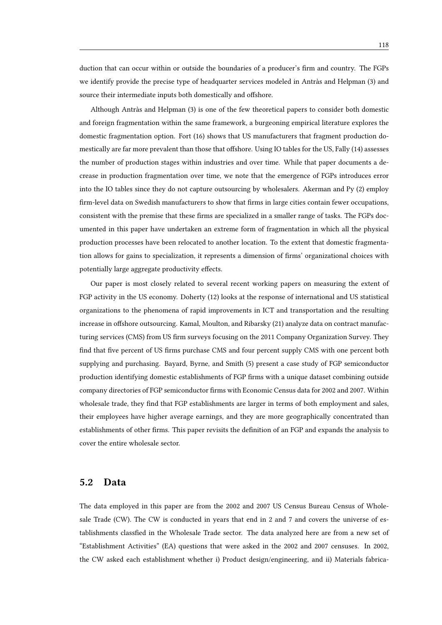duction that can occur within or outside the boundaries of a producer's firm and country. The FGPs we identify provide the precise type of headquarter services modeled in Antràs and Helpman (3) and source their intermediate inputs both domestically and offshore.

Although Antràs and Helpman (3) is one of the few theoretical papers to consider both domestic and foreign fragmentation within the same framework, a burgeoning empirical literature explores the domestic fragmentation option. Fort (16) shows that US manufacturers that fragment production domestically are far more prevalent than those that offshore. Using IO tables for the US, Fally (14) assesses the number of production stages within industries and over time. While that paper documents a decrease in production fragmentation over time, we note that the emergence of FGPs introduces error into the IO tables since they do not capture outsourcing by wholesalers. Akerman and Py (2) employ firm-level data on Swedish manufacturers to show that firms in large cities contain fewer occupations, consistent with the premise that these firms are specialized in a smaller range of tasks. The FGPs documented in this paper have undertaken an extreme form of fragmentation in which all the physical production processes have been relocated to another location. To the extent that domestic fragmentation allows for gains to specialization, it represents a dimension of firms' organizational choices with potentially large aggregate productivity effects.

Our paper is most closely related to several recent working papers on measuring the extent of FGP activity in the US economy. Doherty (12) looks at the response of international and US statistical organizations to the phenomena of rapid improvements in ICT and transportation and the resulting increase in offshore outsourcing. Kamal, Moulton, and Ribarsky (21) analyze data on contract manufacturing services (CMS) from US firm surveys focusing on the 2011 Company Organization Survey. They find that five percent of US firms purchase CMS and four percent supply CMS with one percent both supplying and purchasing. Bayard, Byrne, and Smith (5) present a case study of FGP semiconductor production identifying domestic establishments of FGP firms with a unique dataset combining outside company directories of FGP semiconductor firms with Economic Census data for 2002 and 2007. Within wholesale trade, they find that FGP establishments are larger in terms of both employment and sales, their employees have higher average earnings, and they are more geographically concentrated than establishments of other firms. This paper revisits the definition of an FGP and expands the analysis to cover the entire wholesale sector.

## 5.2 Data

The data employed in this paper are from the 2002 and 2007 US Census Bureau Census of Wholesale Trade (CW). The CW is conducted in years that end in 2 and 7 and covers the universe of establishments classfied in the Wholesale Trade sector. The data analyzed here are from a new set of "Establishment Activities" (EA) questions that were asked in the 2002 and 2007 censuses. In 2002, the CW asked each establishment whether i) Product design/engineering, and ii) Materials fabrica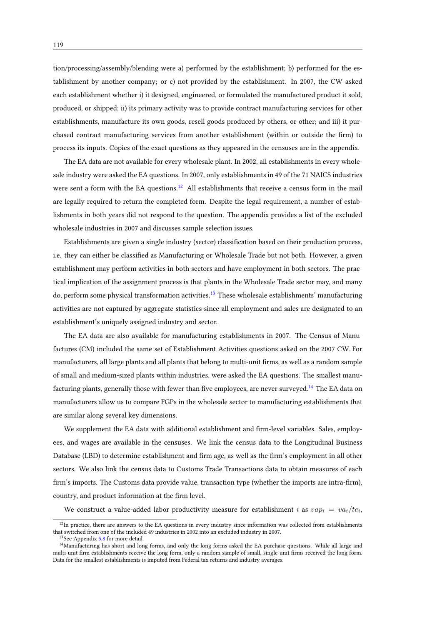tion/processing/assembly/blending were a) performed by the establishment; b) performed for the establishment by another company; or c) not provided by the establishment. In 2007, the CW asked each establishment whether i) it designed, engineered, or formulated the manufactured product it sold, produced, or shipped; ii) its primary activity was to provide contract manufacturing services for other establishments, manufacture its own goods, resell goods produced by others, or other; and iii) it purchased contract manufacturing services from another establishment (within or outside the firm) to process its inputs. Copies of the exact questions as they appeared in the censuses are in the appendix.

The EA data are not available for every wholesale plant. In 2002, all establishments in every wholesale industry were asked the EA questions. In 2007, only establishments in 49 of the 71 NAICS industries were sent a form with the EA questions.<sup>12</sup> All establishments that receive a census form in the mail are legally required to return the completed form. Despite the legal requirement, a number of establishments in both years did not respond to the question. The appendix provides a list of the excluded wholesale industries in 2007 and discusses sample selection issues.

Establishments are given a single industry (sector) classification based on their production process, i.e. they can either be classified as Manufacturing or Wholesale Trade but not both. However, a given establishment may perform activities in both sectors and have employment in both sectors. The practical implication of the assignment process is that plants in the Wholesale Trade sector may, and many do, perform some physical transformation activities.<sup>13</sup> These wholesale establishments' manufacturing activities are not captured by aggregate statistics since all employment and sales are designated to an establishment's uniquely assigned industry and sector.

The EA data are also available for manufacturing establishments in 2007. The Census of Manufactures (CM) included the same set of Establishment Activities questions asked on the 2007 CW. For manufacturers, all large plants and all plants that belong to multi-unit firms, as well as a random sample of small and medium-sized plants within industries, were asked the EA questions. The smallest manufacturing plants, generally those with fewer than five employees, are never surveyed.<sup>14</sup> The EA data on manufacturers allow us to compare FGPs in the wholesale sector to manufacturing establishments that are similar along several key dimensions.

We supplement the EA data with additional establishment and firm-level variables. Sales, employees, and wages are available in the censuses. We link the census data to the Longitudinal Business Database (LBD) to determine establishment and firm age, as well as the firm's employment in all other sectors. We also link the census data to Customs Trade Transactions data to obtain measures of each firm's imports. The Customs data provide value, transaction type (whether the imports are intra-firm), country, and product information at the firm level.

We construct a value-added labor productivity measure for establishment i as  $vap_i = va_i/te_i$ 

 $12$ In practice, there are answers to the EA questions in every industry since information was collected from establishments that switched from one of the included 49 industries in 2002 into an excluded industry in 2007.

<sup>13</sup>See Appendix 5.8 for more detail.

<sup>&</sup>lt;sup>14</sup>Manufacturing has short and long forms, and only the long forms asked the EA purchase questions. While all large and multi-unit firm establishments receive the long form, only a random sample of small, single-unit firms received the long form. Data for the smallest establishments is imputed from Federal tax returns and industry averages.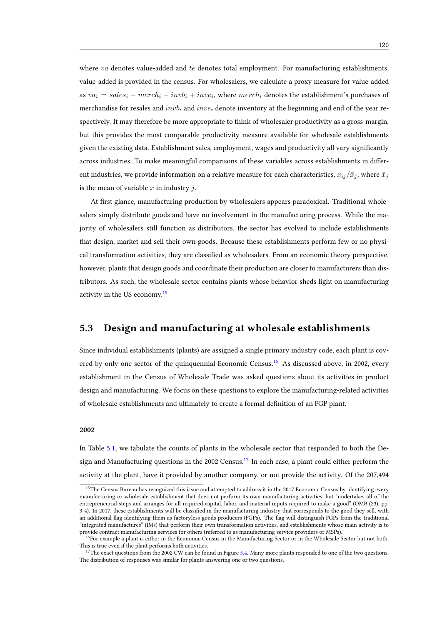where  $va$  denotes value-added and  $te$  denotes total employment. For manufacturing establishments, value-added is provided in the census. For wholesalers, we calculate a proxy measure for value-added as  $va_i = sales_i - merch_i - invb_i + inve_i$ , where  $merch_i$  denotes the establishment's purchases of merchandise for resales and  $invv_i$  and  $inve_i$  denote inventory at the beginning and end of the year respectively. It may therefore be more appropriate to think of wholesaler productivity as a gross-margin, but this provides the most comparable productivity measure available for wholesale establishments given the existing data. Establishment sales, employment, wages and productivity all vary significantly across industries. To make meaningful comparisons of these variables across establishments in different industries, we provide information on a relative measure for each characteristics,  $x_{ij}/\bar{x}_j$ , where  $\bar{x}_j$ is the mean of variable  $x$  in industry  $j$ .

At first glance, manufacturing production by wholesalers appears paradoxical. Traditional wholesalers simply distribute goods and have no involvement in the manufacturing process. While the majority of wholesalers still function as distributors, the sector has evolved to include establishments that design, market and sell their own goods. Because these establishments perform few or no physical transformation activities, they are classified as wholesalers. From an economic theory perspective, however, plants that design goods and coordinate their production are closer to manufacturers than distributors. As such, the wholesale sector contains plants whose behavior sheds light on manufacturing activity in the US economy.15

# 5.3 Design and manufacturing at wholesale establishments

Since individual establishments (plants) are assigned a single primary industry code, each plant is covered by only one sector of the quinquennial Economic Census.<sup>16</sup> As discussed above, in 2002, every establishment in the Census of Wholesale Trade was asked questions about its activities in product design and manufacturing. We focus on these questions to explore the manufacturing-related activities of wholesale establishments and ultimately to create a formal definition of an FGP plant.

#### 2002

In Table 5.1, we tabulate the counts of plants in the wholesale sector that responded to both the Design and Manufacturing questions in the 2002 Census.<sup>17</sup> In each case, a plant could either perform the activity at the plant, have it provided by another company, or not provide the activity. Of the 207,494

<sup>&</sup>lt;sup>15</sup>The Census Bureau has recognized this issue and attempted to address it in the 2017 Economic Census by identifying every manufacturing or wholesale establishment that does not perform its own manufacturing activities, but "undertakes all of the entrepreneurial steps and arranges for all required capital, labor, and material inputs required to make a good" (OMB (23), pp. 3-4). In 2017, these establishments will be classified in the manufacturing industry that corresponds to the good they sell, with an additional flag identifying them as factoryless goods producers (FGPs). The flag will distinguish FGPs from the traditional "integrated manufactures" (IMs) that perform their own transformation activities, and establishments whose main activity is to provide contract manufacturing services for others (referred to as manufacturing service providers or MSPs).

<sup>&</sup>lt;sup>16</sup>For example a plant is either in the Economic Census in the Manufacturing Sector or in the Wholesale Sector but not both. This is true even if the plant performs both activities.

<sup>&</sup>lt;sup>17</sup>The exact questions from the 2002 CW can be found in Figure 5.4. Many more plants responded to one of the two questions. The distribution of responses was similar for plants answering one or two questions.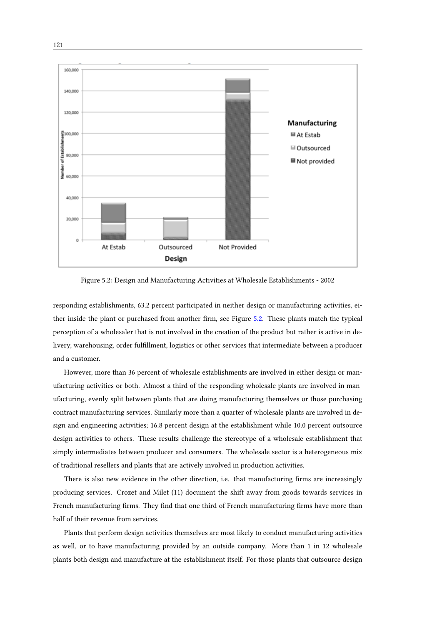

Figure 5.2: Design and Manufacturing Activities at Wholesale Establishments - 2002

responding establishments, 63.2 percent participated in neither design or manufacturing activities, either inside the plant or purchased from another firm, see Figure 5.2. These plants match the typical perception of a wholesaler that is not involved in the creation of the product but rather is active in delivery, warehousing, order fulfillment, logistics or other services that intermediate between a producer and a customer.

However, more than 36 percent of wholesale establishments are involved in either design or manufacturing activities or both. Almost a third of the responding wholesale plants are involved in manufacturing, evenly split between plants that are doing manufacturing themselves or those purchasing contract manufacturing services. Similarly more than a quarter of wholesale plants are involved in design and engineering activities; 16.8 percent design at the establishment while 10.0 percent outsource design activities to others. These results challenge the stereotype of a wholesale establishment that simply intermediates between producer and consumers. The wholesale sector is a heterogeneous mix of traditional resellers and plants that are actively involved in production activities.

There is also new evidence in the other direction, i.e. that manufacturing firms are increasingly producing services. Crozet and Milet (11) document the shift away from goods towards services in French manufacturing firms. They find that one third of French manufacturing firms have more than half of their revenue from services.

Plants that perform design activities themselves are most likely to conduct manufacturing activities as well, or to have manufacturing provided by an outside company. More than 1 in 12 wholesale plants both design and manufacture at the establishment itself. For those plants that outsource design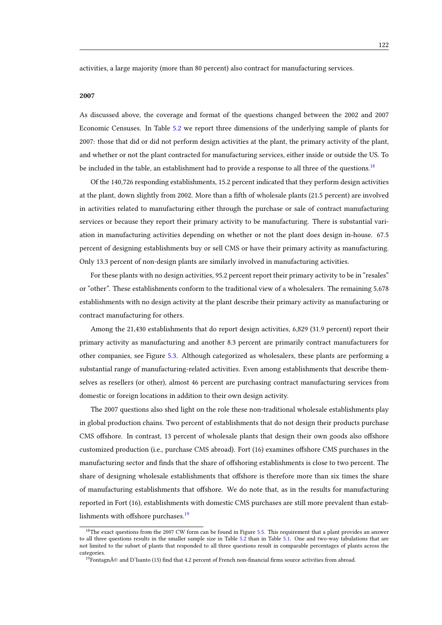activities, a large majority (more than 80 percent) also contract for manufacturing services.

#### 2007

As discussed above, the coverage and format of the questions changed between the 2002 and 2007 Economic Censuses. In Table 5.2 we report three dimensions of the underlying sample of plants for 2007: those that did or did not perform design activities at the plant, the primary activity of the plant, and whether or not the plant contracted for manufacturing services, either inside or outside the US. To be included in the table, an establishment had to provide a response to all three of the questions.<sup>18</sup>

Of the 140,726 responding establishments, 15.2 percent indicated that they perform design activities at the plant, down slightly from 2002. More than a fifth of wholesale plants (21.5 percent) are involved in activities related to manufacturing either through the purchase or sale of contract manufacturing services or because they report their primary activity to be manufacturing. There is substantial variation in manufacturing activities depending on whether or not the plant does design in-house. 67.5 percent of designing establishments buy or sell CMS or have their primary activity as manufacturing. Only 13.3 percent of non-design plants are similarly involved in manufacturing activities.

For these plants with no design activities, 95.2 percent report their primary activity to be in "resales" or "other". These establishments conform to the traditional view of a wholesalers. The remaining 5,678 establishments with no design activity at the plant describe their primary activity as manufacturing or contract manufacturing for others.

Among the 21,430 establishments that do report design activities, 6,829 (31.9 percent) report their primary activity as manufacturing and another 8.3 percent are primarily contract manufacturers for other companies, see Figure 5.3. Although categorized as wholesalers, these plants are performing a substantial range of manufacturing-related activities. Even among establishments that describe themselves as resellers (or other), almost 46 percent are purchasing contract manufacturing services from domestic or foreign locations in addition to their own design activity.

The 2007 questions also shed light on the role these non-traditional wholesale establishments play in global production chains. Two percent of establishments that do not design their products purchase CMS offshore. In contrast, 13 percent of wholesale plants that design their own goods also offshore customized production (i.e., purchase CMS abroad). Fort (16) examines offshore CMS purchases in the manufacturing sector and finds that the share of offshoring establishments is close to two percent. The share of designing wholesale establishments that offshore is therefore more than six times the share of manufacturing establishments that offshore. We do note that, as in the results for manufacturing reported in Fort (16), establishments with domestic CMS purchases are still more prevalent than establishments with offshore purchases.<sup>19</sup>

<sup>&</sup>lt;sup>18</sup>The exact questions from the 2007 CW form can be found in Figure 5.5. This requirement that a plant provides an answer to all three questions results in the smaller sample size in Table 5.2 than in Table 5.1. One and two-way tabulations that are not limited to the subset of plants that responded to all three questions result in comparable percentages of plants across the categories.

<sup>&</sup>lt;sup>19</sup>Fontagné and D'Isanto (15) find that 4.2 percent of French non-financial firms source activities from abroad.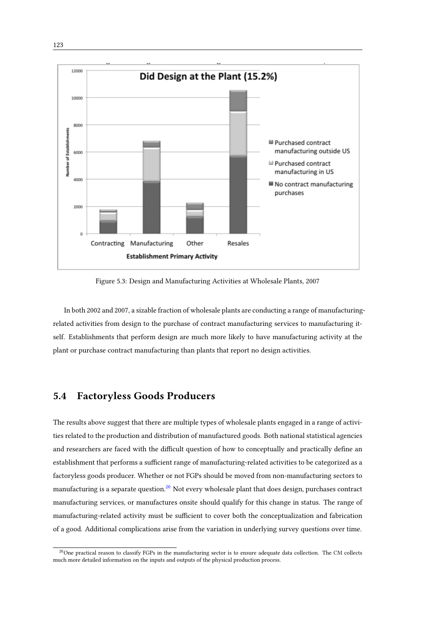

Figure 5.3: Design and Manufacturing Activities at Wholesale Plants, 2007

In both 2002 and 2007, a sizable fraction of wholesale plants are conducting a range of manufacturingrelated activities from design to the purchase of contract manufacturing services to manufacturing itself. Establishments that perform design are much more likely to have manufacturing activity at the plant or purchase contract manufacturing than plants that report no design activities.

# 5.4 Factoryless Goods Producers

The results above suggest that there are multiple types of wholesale plants engaged in a range of activities related to the production and distribution of manufactured goods. Both national statistical agencies and researchers are faced with the difficult question of how to conceptually and practically define an establishment that performs a sufficient range of manufacturing-related activities to be categorized as a factoryless goods producer. Whether or not FGPs should be moved from non-manufacturing sectors to manufacturing is a separate question.<sup>20</sup> Not every wholesale plant that does design, purchases contract manufacturing services, or manufactures onsite should qualify for this change in status. The range of manufacturing-related activity must be sufficient to cover both the conceptualization and fabrication of a good. Additional complications arise from the variation in underlying survey questions over time.

 $20$ One practical reason to classify FGPs in the manufacturing sector is to ensure adequate data collection. The CM collects much more detailed information on the inputs and outputs of the physical production process.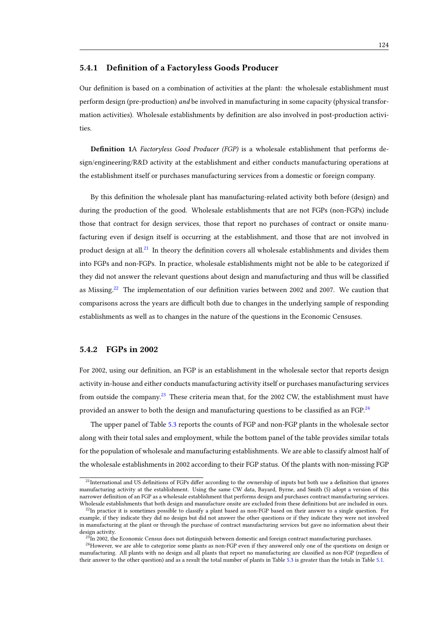#### 5.4.1 Definition of a Factoryless Goods Producer

Our definition is based on a combination of activities at the plant: the wholesale establishment must perform design (pre-production) and be involved in manufacturing in some capacity (physical transformation activities). Wholesale establishments by definition are also involved in post-production activities.

Definition 1A Factoryless Good Producer (FGP) is a wholesale establishment that performs design/engineering/R&D activity at the establishment and either conducts manufacturing operations at the establishment itself or purchases manufacturing services from a domestic or foreign company.

By this definition the wholesale plant has manufacturing-related activity both before (design) and during the production of the good. Wholesale establishments that are not FGPs (non-FGPs) include those that contract for design services, those that report no purchases of contract or onsite manufacturing even if design itself is occurring at the establishment, and those that are not involved in product design at all.<sup>21</sup> In theory the definition covers all wholesale establishments and divides them into FGPs and non-FGPs. In practice, wholesale establishments might not be able to be categorized if they did not answer the relevant questions about design and manufacturing and thus will be classified as Missing.<sup>22</sup> The implementation of our definition varies between 2002 and 2007. We caution that comparisons across the years are difficult both due to changes in the underlying sample of responding establishments as well as to changes in the nature of the questions in the Economic Censuses.

#### 5.4.2 FGPs in 2002

For 2002, using our definition, an FGP is an establishment in the wholesale sector that reports design activity in-house and either conducts manufacturing activity itself or purchases manufacturing services from outside the company.<sup>23</sup> These criteria mean that, for the 2002 CW, the establishment must have provided an answer to both the design and manufacturing questions to be classified as an FGP.<sup>24</sup>

The upper panel of Table 5.3 reports the counts of FGP and non-FGP plants in the wholesale sector along with their total sales and employment, while the bottom panel of the table provides similar totals for the population of wholesale and manufacturing establishments. We are able to classify almost half of the wholesale establishments in 2002 according to their FGP status. Of the plants with non-missing FGP

 $^{21}$ International and US definitions of FGPs differ according to the ownership of inputs but both use a definition that ignores manufacturing activity at the establishment. Using the same CW data, Bayard, Byrne, and Smith (5) adopt a version of this narrower definition of an FGP as a wholesale establishment that performs design and purchases contract manufacturing services. Wholesale establishments that both design and manufacture onsite are excluded from these definitions but are included in ours.

<sup>&</sup>lt;sup>22</sup>In practice it is sometimes possible to classify a plant based as non-FGP based on their answer to a single question. For example, if they indicate they did no design but did not answer the other questions or if they indicate they were not involved in manufacturing at the plant or through the purchase of contract manufacturing services but gave no information about their design activity.

 $^{23}$ In 2002, the Economic Census does not distinguish between domestic and foreign contract manufacturing purchases.

 $24$ However, we are able to categorize some plants as non-FGP even if they answered only one of the questions on design or manufacturing. All plants with no design and all plants that report no manufacturing are classified as non-FGP (regardless of their answer to the other question) and as a result the total number of plants in Table 5.3 is greater than the totals in Table 5.1.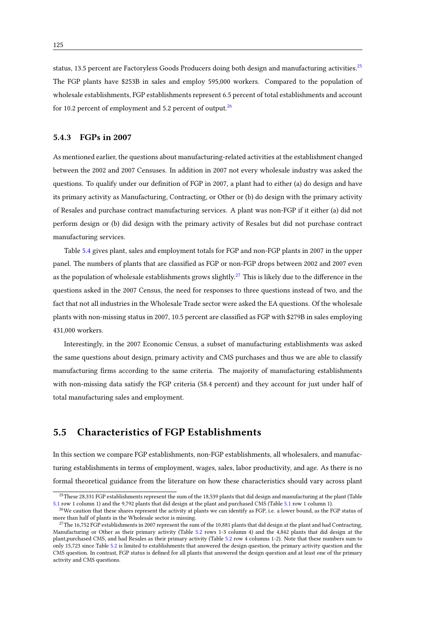status, 13.5 percent are Factoryless Goods Producers doing both design and manufacturing activities.<sup>25</sup> The FGP plants have \$253B in sales and employ 595,000 workers. Compared to the population of wholesale establishments, FGP establishments represent 6.5 percent of total establishments and account for 10.2 percent of employment and 5.2 percent of output.<sup>26</sup>

#### 5.4.3 FGPs in 2007

As mentioned earlier, the questions about manufacturing-related activities at the establishment changed between the 2002 and 2007 Censuses. In addition in 2007 not every wholesale industry was asked the questions. To qualify under our definition of FGP in 2007, a plant had to either (a) do design and have its primary activity as Manufacturing, Contracting, or Other or (b) do design with the primary activity of Resales and purchase contract manufacturing services. A plant was non-FGP if it either (a) did not perform design or (b) did design with the primary activity of Resales but did not purchase contract manufacturing services.

Table 5.4 gives plant, sales and employment totals for FGP and non-FGP plants in 2007 in the upper panel. The numbers of plants that are classified as FGP or non-FGP drops between 2002 and 2007 even as the population of wholesale establishments grows slightly.<sup>27</sup> This is likely due to the difference in the questions asked in the 2007 Census, the need for responses to three questions instead of two, and the fact that not all industries in the Wholesale Trade sector were asked the EA questions. Of the wholesale plants with non-missing status in 2007, 10.5 percent are classified as FGP with \$279B in sales employing 431,000 workers.

Interestingly, in the 2007 Economic Census, a subset of manufacturing establishments was asked the same questions about design, primary activity and CMS purchases and thus we are able to classify manufacturing firms according to the same criteria. The majority of manufacturing establishments with non-missing data satisfy the FGP criteria (58.4 percent) and they account for just under half of total manufacturing sales and employment.

## 5.5 Characteristics of FGP Establishments

In this section we compare FGP establishments, non-FGP establishments, all wholesalers, and manufacturing establishments in terms of employment, wages, sales, labor productivity, and age. As there is no formal theoretical guidance from the literature on how these characteristics should vary across plant

 $^{25}$ These 28,331 FGP establishments represent the sum of the 18,539 plants that did design and manufacturing at the plant (Table 5.1 row 1 column 1) and the 9,792 plants that did design at the plant and purchased CMS (Table 5.1 row 1 column 1).

<sup>26</sup>We caution that these shares represent the activity at plants we can identify as FGP, i.e. a lower bound, as the FGP status of more than half of plants in the Wholesale sector is missing.

<sup>&</sup>lt;sup>27</sup>The 16,752 FGP establishments in 2007 represent the sum of the 10,881 plants that did design at the plant and had Contracting, Manufacturing or Other as their primary activity (Table 5.2 rows 1-3 column 4) and the 4,842 plants that did design at the plant,purchased CMS, and had Resales as their primary activity (Table 5.2 row 4 columns 1-2). Note that these numbers sum to only 15,723 since Table 5.2 is limited to establishments that answered the design question, the primary activity question and the CMS question. In contrast, FGP status is defined for all plants that answered the design question and at least one of the primary activity and CMS questions.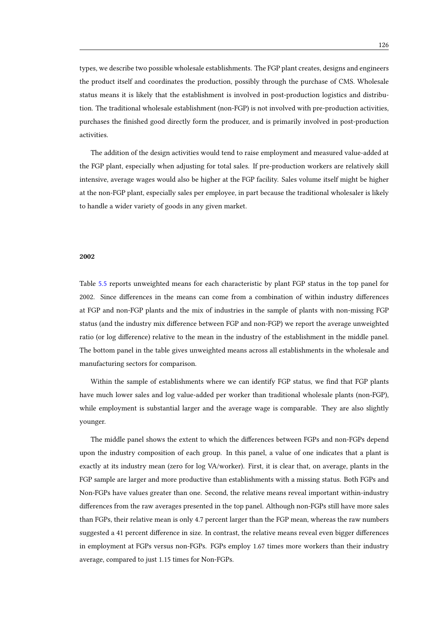types, we describe two possible wholesale establishments. The FGP plant creates, designs and engineers the product itself and coordinates the production, possibly through the purchase of CMS. Wholesale status means it is likely that the establishment is involved in post-production logistics and distribution. The traditional wholesale establishment (non-FGP) is not involved with pre-production activities, purchases the finished good directly form the producer, and is primarily involved in post-production activities.

The addition of the design activities would tend to raise employment and measured value-added at the FGP plant, especially when adjusting for total sales. If pre-production workers are relatively skill intensive, average wages would also be higher at the FGP facility. Sales volume itself might be higher at the non-FGP plant, especially sales per employee, in part because the traditional wholesaler is likely to handle a wider variety of goods in any given market.

#### 2002

Table 5.5 reports unweighted means for each characteristic by plant FGP status in the top panel for 2002. Since differences in the means can come from a combination of within industry differences at FGP and non-FGP plants and the mix of industries in the sample of plants with non-missing FGP status (and the industry mix difference between FGP and non-FGP) we report the average unweighted ratio (or log difference) relative to the mean in the industry of the establishment in the middle panel. The bottom panel in the table gives unweighted means across all establishments in the wholesale and manufacturing sectors for comparison.

Within the sample of establishments where we can identify FGP status, we find that FGP plants have much lower sales and log value-added per worker than traditional wholesale plants (non-FGP), while employment is substantial larger and the average wage is comparable. They are also slightly younger.

The middle panel shows the extent to which the differences between FGPs and non-FGPs depend upon the industry composition of each group. In this panel, a value of one indicates that a plant is exactly at its industry mean (zero for log VA/worker). First, it is clear that, on average, plants in the FGP sample are larger and more productive than establishments with a missing status. Both FGPs and Non-FGPs have values greater than one. Second, the relative means reveal important within-industry differences from the raw averages presented in the top panel. Although non-FGPs still have more sales than FGPs, their relative mean is only 4.7 percent larger than the FGP mean, whereas the raw numbers suggested a 41 percent difference in size. In contrast, the relative means reveal even bigger differences in employment at FGPs versus non-FGPs. FGPs employ 1.67 times more workers than their industry average, compared to just 1.15 times for Non-FGPs.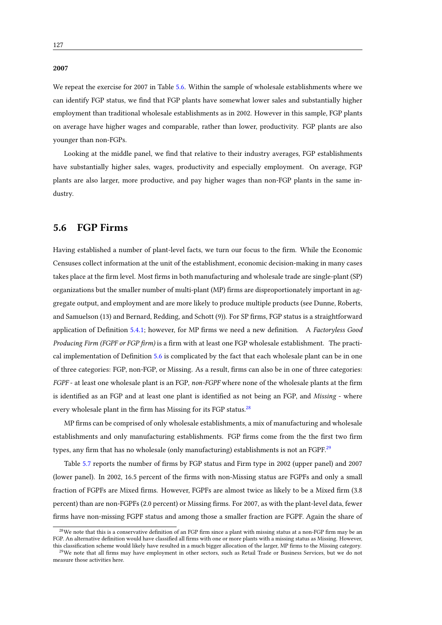#### 2007

127

We repeat the exercise for 2007 in Table 5.6. Within the sample of wholesale establishments where we can identify FGP status, we find that FGP plants have somewhat lower sales and substantially higher employment than traditional wholesale establishments as in 2002. However in this sample, FGP plants on average have higher wages and comparable, rather than lower, productivity. FGP plants are also younger than non-FGPs.

Looking at the middle panel, we find that relative to their industry averages, FGP establishments have substantially higher sales, wages, productivity and especially employment. On average, FGP plants are also larger, more productive, and pay higher wages than non-FGP plants in the same industry.

## 5.6 FGP Firms

Having established a number of plant-level facts, we turn our focus to the firm. While the Economic Censuses collect information at the unit of the establishment, economic decision-making in many cases takes place at the firm level. Most firms in both manufacturing and wholesale trade are single-plant (SP) organizations but the smaller number of multi-plant (MP) firms are disproportionately important in aggregate output, and employment and are more likely to produce multiple products (see Dunne, Roberts, and Samuelson (13) and Bernard, Redding, and Schott (9)). For SP firms, FGP status is a straightforward application of Definition 5.4.1; however, for MP firms we need a new definition. A Factoryless Good Producing Firm (FGPF or FGP firm) is a firm with at least one FGP wholesale establishment. The practical implementation of Definition 5.6 is complicated by the fact that each wholesale plant can be in one of three categories: FGP, non-FGP, or Missing. As a result, firms can also be in one of three categories: FGPF - at least one wholesale plant is an FGP, non-FGPF where none of the wholesale plants at the firm is identified as an FGP and at least one plant is identified as not being an FGP, and Missing - where every wholesale plant in the firm has Missing for its FGP status.<sup>28</sup>

MP firms can be comprised of only wholesale establishments, a mix of manufacturing and wholesale establishments and only manufacturing establishments. FGP firms come from the the first two firm types, any firm that has no wholesale (only manufacturing) establishments is not an FGPF.<sup>29</sup>

Table 5.7 reports the number of firms by FGP status and Firm type in 2002 (upper panel) and 2007 (lower panel). In 2002, 16.5 percent of the firms with non-Missing status are FGPFs and only a small fraction of FGPFs are Mixed firms. However, FGPFs are almost twice as likely to be a Mixed firm (3.8 percent) than are non-FGPFs (2.0 percent) or Missing firms. For 2007, as with the plant-level data, fewer firms have non-missing FGPF status and among those a smaller fraction are FGPF. Again the share of

 $28$ We note that this is a conservative definition of an FGP firm since a plant with missing status at a non-FGP firm may be an FGP. An alternative definition would have classified all firms with one or more plants with a missing status as Missing. However, this classification scheme would likely have resulted in a much bigger allocation of the larger, MP firms to the Missing category.

<sup>&</sup>lt;sup>29</sup>We note that all firms may have employment in other sectors, such as Retail Trade or Business Services, but we do not measure those activities here.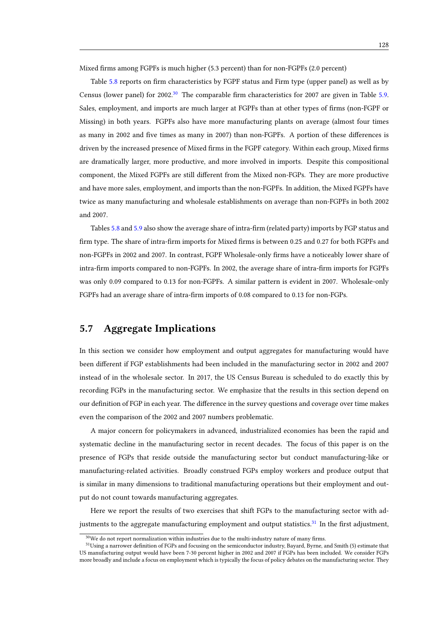Mixed firms among FGPFs is much higher (5.3 percent) than for non-FGPFs (2.0 percent)

Table 5.8 reports on firm characteristics by FGPF status and Firm type (upper panel) as well as by Census (lower panel) for 2002.<sup>30</sup> The comparable firm characteristics for 2007 are given in Table 5.9. Sales, employment, and imports are much larger at FGPFs than at other types of firms (non-FGPF or Missing) in both years. FGPFs also have more manufacturing plants on average (almost four times as many in 2002 and five times as many in 2007) than non-FGPFs. A portion of these differences is driven by the increased presence of Mixed firms in the FGPF category. Within each group, Mixed firms are dramatically larger, more productive, and more involved in imports. Despite this compositional component, the Mixed FGPFs are still different from the Mixed non-FGPs. They are more productive and have more sales, employment, and imports than the non-FGPFs. In addition, the Mixed FGPFs have twice as many manufacturing and wholesale establishments on average than non-FGPFs in both 2002 and 2007.

Tables 5.8 and 5.9 also show the average share of intra-firm (related party) imports by FGP status and firm type. The share of intra-firm imports for Mixed firms is between 0.25 and 0.27 for both FGPFs and non-FGPFs in 2002 and 2007. In contrast, FGPF Wholesale-only firms have a noticeably lower share of intra-firm imports compared to non-FGPFs. In 2002, the average share of intra-firm imports for FGPFs was only 0.09 compared to 0.13 for non-FGPFs. A similar pattern is evident in 2007. Wholesale-only FGPFs had an average share of intra-firm imports of 0.08 compared to 0.13 for non-FGPs.

# 5.7 Aggregate Implications

In this section we consider how employment and output aggregates for manufacturing would have been different if FGP establishments had been included in the manufacturing sector in 2002 and 2007 instead of in the wholesale sector. In 2017, the US Census Bureau is scheduled to do exactly this by recording FGPs in the manufacturing sector. We emphasize that the results in this section depend on our definition of FGP in each year. The difference in the survey questions and coverage over time makes even the comparison of the 2002 and 2007 numbers problematic.

A major concern for policymakers in advanced, industrialized economies has been the rapid and systematic decline in the manufacturing sector in recent decades. The focus of this paper is on the presence of FGPs that reside outside the manufacturing sector but conduct manufacturing-like or manufacturing-related activities. Broadly construed FGPs employ workers and produce output that is similar in many dimensions to traditional manufacturing operations but their employment and output do not count towards manufacturing aggregates.

Here we report the results of two exercises that shift FGPs to the manufacturing sector with adjustments to the aggregate manufacturing employment and output statistics.<sup>31</sup> In the first adjustment,

 $^{30}\rm{We}$  do not report normalization within industries due to the multi-industry nature of many firms.

 $31$ Using a narrower definition of FGPs and focusing on the semiconductor industry, Bayard, Byrne, and Smith (5) estimate that US manufacturing output would have been 7-30 percent higher in 2002 and 2007 if FGPs has been included. We consider FGPs more broadly and include a focus on employment which is typically the focus of policy debates on the manufacturing sector. They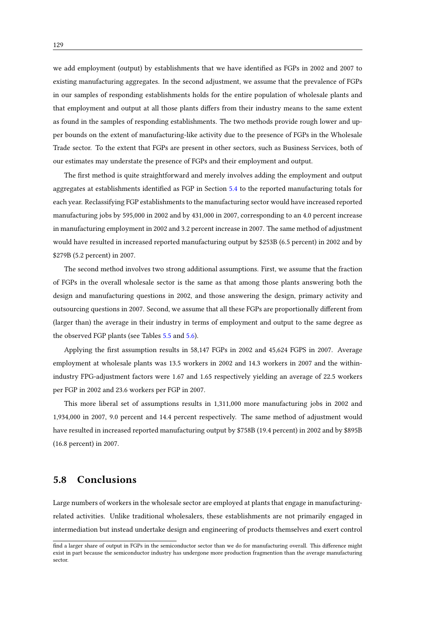we add employment (output) by establishments that we have identified as FGPs in 2002 and 2007 to existing manufacturing aggregates. In the second adjustment, we assume that the prevalence of FGPs in our samples of responding establishments holds for the entire population of wholesale plants and that employment and output at all those plants differs from their industry means to the same extent as found in the samples of responding establishments. The two methods provide rough lower and upper bounds on the extent of manufacturing-like activity due to the presence of FGPs in the Wholesale Trade sector. To the extent that FGPs are present in other sectors, such as Business Services, both of our estimates may understate the presence of FGPs and their employment and output.

The first method is quite straightforward and merely involves adding the employment and output aggregates at establishments identified as FGP in Section 5.4 to the reported manufacturing totals for each year. Reclassifying FGP establishments to the manufacturing sector would have increased reported manufacturing jobs by 595,000 in 2002 and by 431,000 in 2007, corresponding to an 4.0 percent increase in manufacturing employment in 2002 and 3.2 percent increase in 2007. The same method of adjustment would have resulted in increased reported manufacturing output by \$253B (6.5 percent) in 2002 and by \$279B (5.2 percent) in 2007.

The second method involves two strong additional assumptions. First, we assume that the fraction of FGPs in the overall wholesale sector is the same as that among those plants answering both the design and manufacturing questions in 2002, and those answering the design, primary activity and outsourcing questions in 2007. Second, we assume that all these FGPs are proportionally different from (larger than) the average in their industry in terms of employment and output to the same degree as the observed FGP plants (see Tables 5.5 and 5.6).

Applying the first assumption results in 58,147 FGPs in 2002 and 45,624 FGPS in 2007. Average employment at wholesale plants was 13.5 workers in 2002 and 14.3 workers in 2007 and the withinindustry FPG-adjustment factors were 1.67 and 1.65 respectively yielding an average of 22.5 workers per FGP in 2002 and 23.6 workers per FGP in 2007.

This more liberal set of assumptions results in 1,311,000 more manufacturing jobs in 2002 and 1,934,000 in 2007, 9.0 percent and 14.4 percent respectively. The same method of adjustment would have resulted in increased reported manufacturing output by \$758B (19.4 percent) in 2002 and by \$895B (16.8 percent) in 2007.

# 5.8 Conclusions

Large numbers of workers in the wholesale sector are employed at plants that engage in manufacturingrelated activities. Unlike traditional wholesalers, these establishments are not primarily engaged in intermediation but instead undertake design and engineering of products themselves and exert control

find a larger share of output in FGPs in the semiconductor sector than we do for manufacturing overall. This difference might exist in part because the semiconductor industry has undergone more production fragmention than the average manufacturing sector.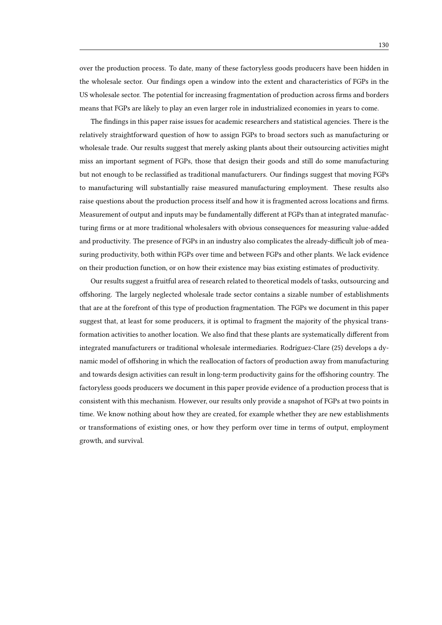over the production process. To date, many of these factoryless goods producers have been hidden in the wholesale sector. Our findings open a window into the extent and characteristics of FGPs in the US wholesale sector. The potential for increasing fragmentation of production across firms and borders means that FGPs are likely to play an even larger role in industrialized economies in years to come.

The findings in this paper raise issues for academic researchers and statistical agencies. There is the relatively straightforward question of how to assign FGPs to broad sectors such as manufacturing or wholesale trade. Our results suggest that merely asking plants about their outsourcing activities might miss an important segment of FGPs, those that design their goods and still do some manufacturing but not enough to be reclassified as traditional manufacturers. Our findings suggest that moving FGPs to manufacturing will substantially raise measured manufacturing employment. These results also raise questions about the production process itself and how it is fragmented across locations and firms. Measurement of output and inputs may be fundamentally different at FGPs than at integrated manufacturing firms or at more traditional wholesalers with obvious consequences for measuring value-added and productivity. The presence of FGPs in an industry also complicates the already-difficult job of measuring productivity, both within FGPs over time and between FGPs and other plants. We lack evidence on their production function, or on how their existence may bias existing estimates of productivity.

Our results suggest a fruitful area of research related to theoretical models of tasks, outsourcing and offshoring. The largely neglected wholesale trade sector contains a sizable number of establishments that are at the forefront of this type of production fragmentation. The FGPs we document in this paper suggest that, at least for some producers, it is optimal to fragment the majority of the physical transformation activities to another location. We also find that these plants are systematically different from integrated manufacturers or traditional wholesale intermediaries. Rodríguez-Clare (25) develops a dynamic model of offshoring in which the reallocation of factors of production away from manufacturing and towards design activities can result in long-term productivity gains for the offshoring country. The factoryless goods producers we document in this paper provide evidence of a production process that is consistent with this mechanism. However, our results only provide a snapshot of FGPs at two points in time. We know nothing about how they are created, for example whether they are new establishments or transformations of existing ones, or how they perform over time in terms of output, employment growth, and survival.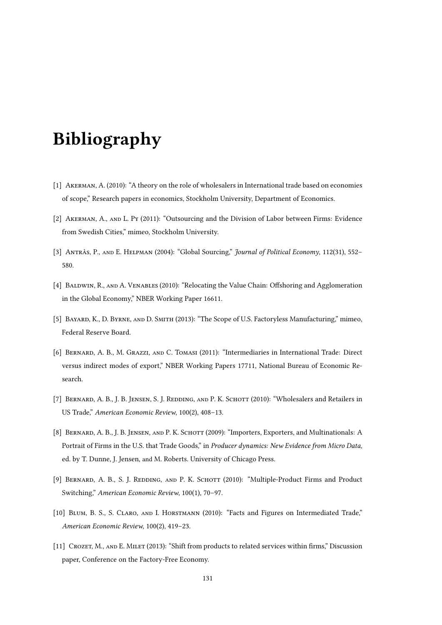# Bibliography

- [1] Akerman, A. (2010): "A theory on the role of wholesalers in International trade based on economies of scope," Research papers in economics, Stockholm University, Department of Economics.
- [2] Akerman, A., and L. Py (2011): "Outsourcing and the Division of Labor between Firms: Evidence from Swedish Cities," mimeo, Stockholm University.
- [3] Antràs, P., and E. Helpman (2004): "Global Sourcing," Journal of Political Economy, 112(31), 552– 580.
- [4] BALDWIN, R., AND A. VENABLES (2010): "Relocating the Value Chain: Offshoring and Agglomeration in the Global Economy," NBER Working Paper 16611.
- [5] BAYARD, K., D. BYRNE, AND D. SMITH (2013): "The Scope of U.S. Factoryless Manufacturing," mimeo, Federal Reserve Board.
- [6] Bernard, A. B., M. Grazzi, and C. Tomasi (2011): "Intermediaries in International Trade: Direct versus indirect modes of export," NBER Working Papers 17711, National Bureau of Economic Research.
- [7] BERNARD, A. B., J. B. JENSEN, S. J. REDDING, AND P. K. SCHOTT (2010): "Wholesalers and Retailers in US Trade," American Economic Review, 100(2), 408–13.
- [8] Bernard, A. B., J. B. Jensen, and P. K. Schott (2009): "Importers, Exporters, and Multinationals: A Portrait of Firms in the U.S. that Trade Goods," in Producer dynamics: New Evidence from Micro Data, ed. by T. Dunne, J. Jensen, and M. Roberts. University of Chicago Press.
- [9] BERNARD, A. B., S. J. REDDING, AND P. K. SCHOTT (2010): "Multiple-Product Firms and Product Switching," American Economic Review, 100(1), 70–97.
- [10] Blum, B. S., S. Claro, and I. Horstmann (2010): "Facts and Figures on Intermediated Trade," American Economic Review, 100(2), 419–23.
- [11] CROZET, M., AND E. MILET (2013): "Shift from products to related services within firms," Discussion paper, Conference on the Factory-Free Economy.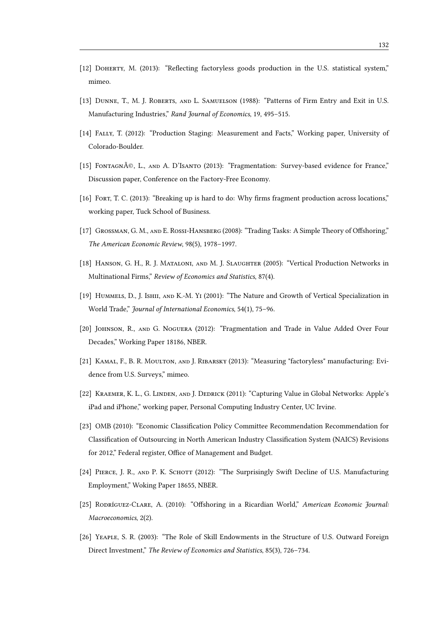- [12] DOHERTY, M. (2013): "Reflecting factoryless goods production in the U.S. statistical system," mimeo.
- [13] Dunne, T., M. J. Roberts, and L. Samuelson (1988): "Patterns of Firm Entry and Exit in U.S. Manufacturing Industries," Rand Journal of Economics, 19, 495–515.
- [14] Fally, T. (2012): "Production Staging: Measurement and Facts," Working paper, University of Colorado-Boulder.
- [15] Fontagné, L., and A. D'Isanto (2013): "Fragmentation: Survey-based evidence for France," Discussion paper, Conference on the Factory-Free Economy.
- [16] FORT, T. C. (2013): "Breaking up is hard to do: Why firms fragment production across locations," working paper, Tuck School of Business.
- [17] GROSSMAN, G. M., AND E. ROSSI-HANSBERG (2008): "Trading Tasks: A Simple Theory of Offshoring," The American Economic Review, 98(5), 1978–1997.
- [18] Hanson, G. H., R. J. Mataloni, and M. J. Slaughter (2005): "Vertical Production Networks in Multinational Firms," Review of Economics and Statistics, 87(4).
- [19] HUMMELS, D., J. ISHII, AND K.-M. YI (2001): "The Nature and Growth of Vertical Specialization in World Trade," Journal of International Economics, 54(1), 75–96.
- [20] Johnson, R., and G. Noguera (2012): "Fragmentation and Trade in Value Added Over Four Decades," Working Paper 18186, NBER.
- [21] KAMAL, F., B. R. MOULTON, AND J. RIBARSKY (2013): "Measuring "factoryless" manufacturing: Evidence from U.S. Surveys," mimeo.
- [22] Kraemer, K. L., G. Linden, and J. Dedrick (2011): "Capturing Value in Global Networks: Apple's iPad and iPhone," working paper, Personal Computing Industry Center, UC Irvine.
- [23] OMB (2010): "Economic Classification Policy Committee Recommendation Recommendation for Classification of Outsourcing in North American Industry Classification System (NAICS) Revisions for 2012," Federal register, Office of Management and Budget.
- [24] PIERCE, J. R., AND P. K. SCHOTT (2012): "The Surprisingly Swift Decline of U.S. Manufacturing Employment," Woking Paper 18655, NBER.
- [25] RODRÍGUEZ-CLARE, A. (2010): "Offshoring in a Ricardian World," American Economic Journal: Macroeconomics, 2(2).
- [26] Yeaple, S. R. (2003): "The Role of Skill Endowments in the Structure of U.S. Outward Foreign Direct Investment," The Review of Economics and Statistics, 85(3), 726–734.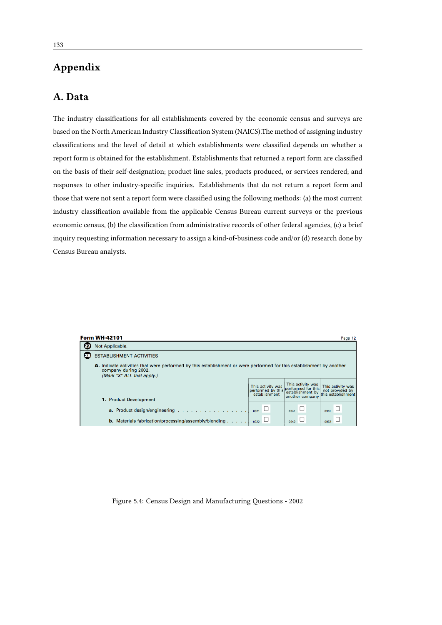# Appendix

# A. Data

The industry classifications for all establishments covered by the economic census and surveys are based on the North American Industry Classification System (NAICS). The method of assigning industry classifications and the level of detail at which establishments were classified depends on whether a report form is obtained for the establishment. Establishments that returned a report form are classified on the basis of their self-designation; product line sales, products produced, or services rendered; and responses to other industry-specific inquiries. Establishments that do not return a report form and those that were not sent a report form were classified using the following methods: (a) the most current industry classification available from the applicable Census Bureau current surveys or the previous economic census, (b) the classification from administrative records of other federal agencies, (c) a brief inquiry requesting information necessary to assign a kind-of-business code and/or (d) research done by Census Bureau analysts.

|    | <b>Form WH-42101</b>                                                                                                                                                       |                                                         |      |                                                            |      | Page 12                                                                     |
|----|----------------------------------------------------------------------------------------------------------------------------------------------------------------------------|---------------------------------------------------------|------|------------------------------------------------------------|------|-----------------------------------------------------------------------------|
| m  | Not Applicable.                                                                                                                                                            |                                                         |      |                                                            |      |                                                                             |
| 28 | <b>ESTABLISHMENT ACTIVITIES</b>                                                                                                                                            |                                                         |      |                                                            |      |                                                                             |
|    | A. Indicate activities that were performed by this establishment or were performed for this establishment by another<br>company during 2002.<br>(Mark "X" ALL that apply.) |                                                         |      |                                                            |      |                                                                             |
|    | <b>1.</b> Product Development                                                                                                                                              | This activity was<br>performed by this<br>establishment |      | This activity was<br>performed for this<br>another company |      | This activity was<br>not provided by<br>establishment by this establishment |
|    | a. Product design/engineering                                                                                                                                              | 0921                                                    | 0941 |                                                            | 0961 |                                                                             |
|    | <b>b.</b> Materials fabrication/processing/assembly/blending                                                                                                               | 0922                                                    | 0942 |                                                            | 0962 |                                                                             |

Figure 5.4: Census Design and Manufacturing Questions - 2002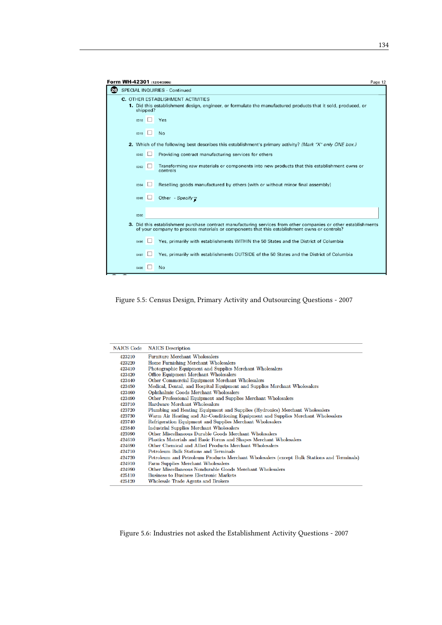|      |   |                                                                                                        | Page 12                                                                                                                                                                                                                                                                                                                                                                                                                                                                                                                                                                    |
|------|---|--------------------------------------------------------------------------------------------------------|----------------------------------------------------------------------------------------------------------------------------------------------------------------------------------------------------------------------------------------------------------------------------------------------------------------------------------------------------------------------------------------------------------------------------------------------------------------------------------------------------------------------------------------------------------------------------|
|      |   |                                                                                                        |                                                                                                                                                                                                                                                                                                                                                                                                                                                                                                                                                                            |
|      |   |                                                                                                        |                                                                                                                                                                                                                                                                                                                                                                                                                                                                                                                                                                            |
| 0318 |   | Yes                                                                                                    |                                                                                                                                                                                                                                                                                                                                                                                                                                                                                                                                                                            |
| 0319 | H | No                                                                                                     |                                                                                                                                                                                                                                                                                                                                                                                                                                                                                                                                                                            |
|      |   |                                                                                                        |                                                                                                                                                                                                                                                                                                                                                                                                                                                                                                                                                                            |
| 0362 |   | Providing contract manufacturing services for others                                                   |                                                                                                                                                                                                                                                                                                                                                                                                                                                                                                                                                                            |
| 0363 | ш | Transforming raw materials or components into new products that this establishment owns or<br>controls |                                                                                                                                                                                                                                                                                                                                                                                                                                                                                                                                                                            |
| 0364 |   | Reselling goods manufactured by others (with or without minor final assembly)                          |                                                                                                                                                                                                                                                                                                                                                                                                                                                                                                                                                                            |
| 0365 |   | Other - Specify $\mathbb{Z}$                                                                           |                                                                                                                                                                                                                                                                                                                                                                                                                                                                                                                                                                            |
| 0366 |   |                                                                                                        |                                                                                                                                                                                                                                                                                                                                                                                                                                                                                                                                                                            |
|      |   |                                                                                                        |                                                                                                                                                                                                                                                                                                                                                                                                                                                                                                                                                                            |
| 0496 |   | Yes, primarily with establishments WITHIN the 50 States and the District of Columbia                   |                                                                                                                                                                                                                                                                                                                                                                                                                                                                                                                                                                            |
| 0497 |   | Yes, primarily with establishments OUTSIDE of the 50 States and the District of Columbia               |                                                                                                                                                                                                                                                                                                                                                                                                                                                                                                                                                                            |
| 0498 |   | No                                                                                                     |                                                                                                                                                                                                                                                                                                                                                                                                                                                                                                                                                                            |
|      |   |                                                                                                        | Form WH-42301 (12/04/2006)<br>SPECIAL INQUIRIES - Continued<br><b>C.</b> OTHER ESTABLISHMENT ACTIVITIES<br>1. Did this establishment design, engineer, or formulate the manufactured products that it sold, produced, or<br>shipped?<br><b>2.</b> Which of the following best describes this establishment's primary activity? (Mark "X" only ONE box.)<br>3. Did this establishment purchase contract manufacturing services from other companies or other establishments<br>of your company to process materials or components that this establishment owns or controls? |

Figure 5.5: Census Design, Primary Activity and Outsourcing Questions - 2007

| <b>NAICS</b> Code | <b>NAICS</b> Description                                                                   |
|-------------------|--------------------------------------------------------------------------------------------|
| 423210            | <b>Furniture Merchant Wholesalers</b>                                                      |
| 423220            | Home Furnishing Merchant Wholesalers                                                       |
| 423410            | Photographic Equipment and Supplies Merchant Wholesalers                                   |
| 423420            | Office Equipment Merchant Wholesalers                                                      |
| 423440            | Other Commercial Equipment Merchant Wholesalers                                            |
| 423450            | Medical, Dental, and Hospital Equipment and Supplies Merchant Wholesalers                  |
| 423460            | Ophthalmic Goods Merchant Wholesalers                                                      |
| 423490            | Other Professional Equipment and Supplies Merchant Wholesalers                             |
| 423710            | Hardware Merchant Wholesalers                                                              |
| 423720            | Plumbing and Heating Equipment and Supplies (Hydronics) Merchant Wholesalers               |
| 423730            | Warm Air Heating and Air-Conditioning Equipment and Supplies Merchant Wholesalers          |
| 423740            | Refrigeration Equipment and Supplies Merchant Wholesalers                                  |
| 423840            | <b>Industrial Supplies Merchant Wholesalers</b>                                            |
| 423990            | Other Miscellaneous Durable Goods Merchant Wholesalers                                     |
| 424610            | Plastics Materials and Basic Forms and Shapes Merchant Wholesalers                         |
| 424690            | Other Chemical and Allied Products Merchant Wholesalers                                    |
| 424710            | Petroleum Bulk Stations and Terminals                                                      |
| 424720            | Petroleum and Petroleum Products Merchant Wholesalers (except Bulk Stations and Terminals) |
| 424910            | Farm Supplies Merchant Wholesalers                                                         |
| 424990            | Other Miscellaneous Nondurable Goods Merchant Wholesalers                                  |
| 425110            | <b>Business to Business Electronic Markets</b>                                             |
| 425120            | Wholesale Trade Agents and Brokers                                                         |

Figure 5.6: Industries not asked the Establishment Activity Questions - 2007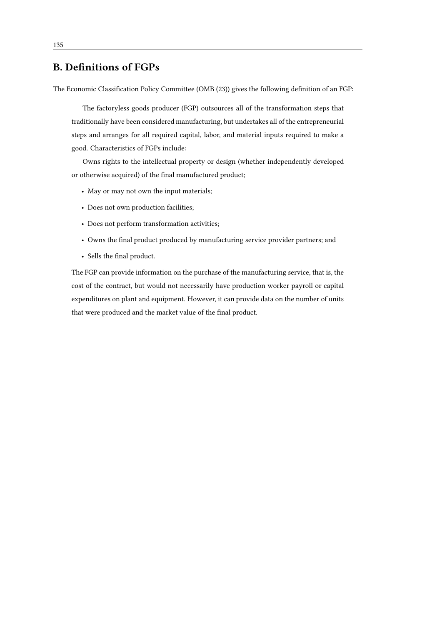# **B. Definitions of FGPs**

The Economic Classification Policy Committee (OMB (23)) gives the following definition of an FGP:

The factoryless goods producer (FGP) outsources all of the transformation steps that traditionally have been considered manufacturing, but undertakes all of the entrepreneurial steps and arranges for all required capital, labor, and material inputs required to make a good. Characteristics of FGPs include:

Owns rights to the intellectual property or design (whether independently developed or otherwise acquired) of the final manufactured product;

- May or may not own the input materials;
- Does not own production facilities;
- Does not perform transformation activities;
- Owns the final product produced by manufacturing service provider partners; and
- Sells the final product.

The FGP can provide information on the purchase of the manufacturing service, that is, the cost of the contract, but would not necessarily have production worker payroll or capital expenditures on plant and equipment. However, it can provide data on the number of units that were produced and the market value of the final product.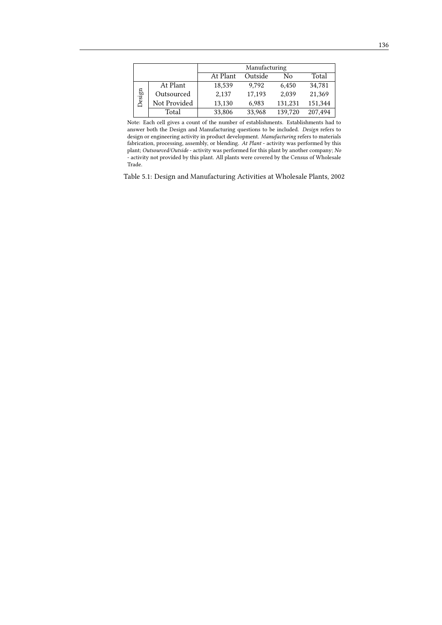|        |              |          | Manufacturing |         |         |
|--------|--------------|----------|---------------|---------|---------|
|        |              | At Plant | Outside       | No      | Total   |
|        | At Plant     | 18,539   | 9.792         | 6,450   | 34,781  |
|        | Outsourced   | 2.137    | 17,193        | 2.039   | 21,369  |
| Design | Not Provided | 13,130   | 6,983         | 131,231 | 151,344 |
|        | Total        | 33,806   | 33,968        | 139,720 | 207,494 |

Note: Each cell gives a count of the number of establishments. Establishments had to answer both the Design and Manufacturing questions to be included. Design refers to design or engineering activity in product development. Manufacturing refers to materials fabrication, processing, assembly, or blending. At Plant - activity was performed by this plant; Outsourced/Outside - activity was performed for this plant by another company; No - activity not provided by this plant. All plants were covered by the Census of Wholesale Trade.

Table 5.1: Design and Manufacturing Activities at Wholesale Plants, 2002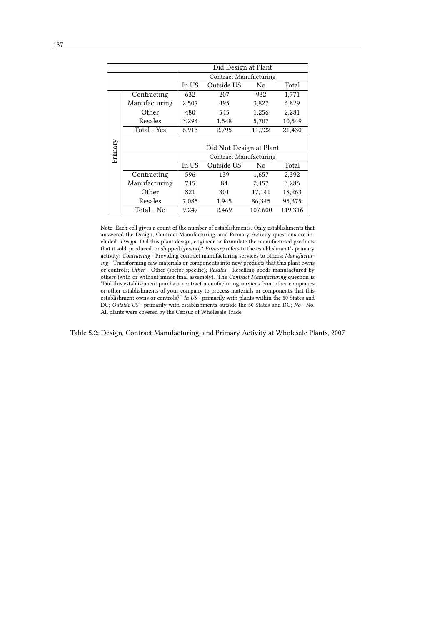|         |               |                               | Did Design at Plant           |                |         |
|---------|---------------|-------------------------------|-------------------------------|----------------|---------|
|         |               |                               | <b>Contract Manufacturing</b> |                |         |
|         |               | In US                         | Outside US                    | N <sub>0</sub> | Total   |
|         | Contracting   | 632                           | 207                           | 932            | 1,771   |
|         | Manufacturing | 2,507                         | 495                           | 3,827          | 6,829   |
|         | Other         | 480                           | 545                           | 1,256          | 2,281   |
|         | Resales       | 3,294                         | 1,548                         | 5,707          | 10,549  |
|         | Total - Yes   | 6,913                         | 2,795                         | 11,722         | 21,430  |
| Primary |               |                               | Did Not Design at Plant       |                |         |
|         |               | <b>Contract Manufacturing</b> |                               |                |         |
|         |               | In US                         | Outside US                    | No             | Total   |
|         | Contracting   | 596                           | 139                           | 1,657          | 2,392   |
|         | Manufacturing | 745                           | 84                            | 2,457          | 3,286   |
|         | Other         | 821                           | 301                           | 17,141         | 18,263  |
|         | Resales       | 7,085                         | 1,945                         | 86,345         | 95,375  |
|         | Total - No    | 9,247                         | 2,469                         | 107,600        | 119,316 |

Note: Each cell gives a count of the number of establishments. Only establishments that answered the Design, Contract Manufacturing, and Primary Activity questions are included. Design: Did this plant design, engineer or formulate the manufactured products that it sold, produced, or shipped (yes/no)? Primary refers to the establishment's primary activity: Contracting - Providing contract manufacturing services to others; Manufacturing - Transforming raw materials or components into new products that this plant owns or controls; Other - Other (sector-specific); Resales - Reselling goods manufactured by others (with or without minor final assembly). The Contract Manufacturing question is "Did this establishment purchase contract manufacturing services from other companies or other establishments of your company to process materials or components that this establishment owns or controls?" In US - primarily with plants within the 50 States and DC; Outside US - primarily with establishments outside the 50 States and DC; No - No. All plants were covered by the Census of Wholesale Trade.

Table 5.2: Design, Contract Manufacturing, and Primary Activity at Wholesale Plants, 2007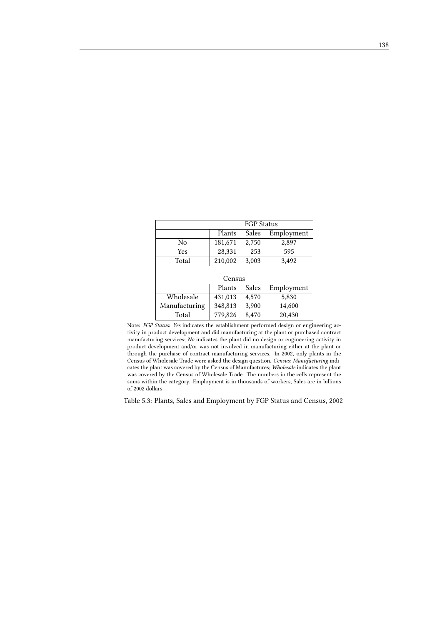|               |         | <b>FGP</b> Status |            |
|---------------|---------|-------------------|------------|
|               | Plants  | Sales             | Employment |
| No            | 181,671 | 2,750             | 2,897      |
| Yes           | 28,331  | 253               | 595        |
| Total         | 210,002 | 3,003             | 3,492      |
|               |         |                   |            |
|               | Census  |                   |            |
|               | Plants  | Sales             | Employment |
| Wholesale     | 431,013 | 4,570             | 5,830      |
| Manufacturing | 348,813 | 3,900             | 14,600     |
| Total         | 779,826 | 8,470             | 20,430     |

Note: FGP Status: Yes indicates the establishment performed design or engineering activity in product development and did manufacturing at the plant or purchased contract manufacturing services; No indicates the plant did no design or engineering activity in product development and/or was not involved in manufacturing either at the plant or through the purchase of contract manufacturing services. In 2002, only plants in the Census of Wholesale Trade were asked the design question. Census: Manufacturing indicates the plant was covered by the Census of Manufactures; Wholesale indicates the plant was covered by the Census of Wholesale Trade. The numbers in the cells represent the sums within the category. Employment is in thousands of workers, Sales are in billions of 2002 dollars.

Table 5.3: Plants, Sales and Employment by FGP Status and Census, 2002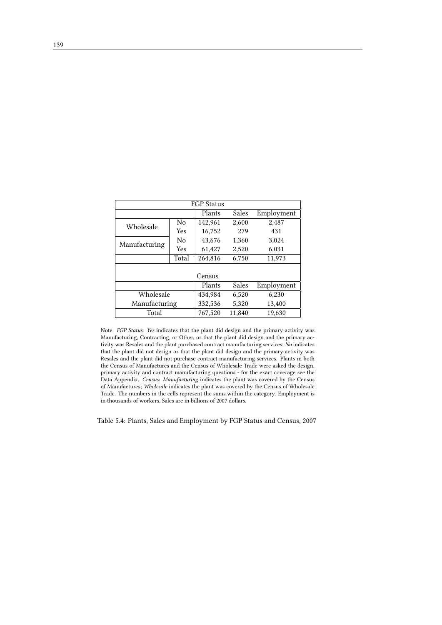|               |            | <b>FGP Status</b> |        |            |
|---------------|------------|-------------------|--------|------------|
|               |            | Plants            | Sales  | Employment |
| Wholesale     | No         | 142,961           | 2,600  | 2,487      |
|               | <b>Yes</b> | 16,752            | 279    | 431        |
|               | No         | 43,676            | 1,360  | 3,024      |
| Manufacturing | Yes        | 61,427            | 2,520  | 6,031      |
|               | Total      | 264,816           | 6,750  | 11,973     |
|               |            |                   |        |            |
|               |            | Census            |        |            |
|               |            | Plants            | Sales  | Employment |
| Wholesale     |            | 434.984           | 6,520  | 6,230      |
| Manufacturing |            | 332,536           | 5,320  | 13,400     |
| Total         |            | 767,520           | 11,840 | 19,630     |

Note: FGP Status: Yes indicates that the plant did design and the primary activity was Manufacturing, Contracting, or Other, or that the plant did design and the primary activity was Resales and the plant purchased contract manufacturing services; No indicates that the plant did not design or that the plant did design and the primary activity was Resales and the plant did not purchase contract manufacturing services. Plants in both the Census of Manufactures and the Census of Wholesale Trade were asked the design, primary activity and contract manufacturing questions - for the exact coverage see the Data Appendix. Census: Manufacturing indicates the plant was covered by the Census of Manufactures; Wholesale indicates the plant was covered by the Census of Wholesale Trade. The numbers in the cells represent the sums within the category. Employment is in thousands of workers, Sales are in billions of 2007 dollars.

Table 5.4: Plants, Sales and Employment by FGP Status and Census, 2007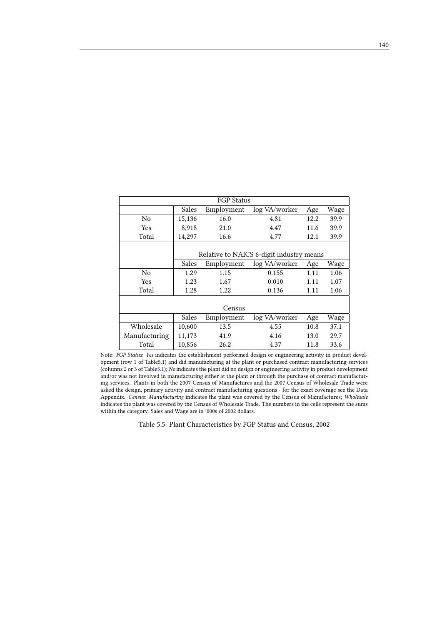|                |        | <b>FGP</b> Status |                                          |      |      |
|----------------|--------|-------------------|------------------------------------------|------|------|
|                | Sales  | Employment        | log VA/worker                            | Age  | Wage |
| N <sub>0</sub> | 15,136 | 16.0              | 4.81                                     | 12.2 | 39.9 |
| Yes            | 8,918  | 21.0              | 4.47                                     | 11.6 | 39.9 |
| Total          | 14,297 | 16.6              | 4.77                                     | 12.1 | 39.9 |
|                |        |                   |                                          |      |      |
|                |        |                   | Relative to NAICS 6-digit industry means |      |      |
|                | Sales  | Employment        | log VA/worker                            | Age  | Wage |
| N <sub>0</sub> | 1.29   | 1.15              | 0.155                                    | 1.11 | 1.06 |
| Yes            | 1.23   | 1.67              | 0.010                                    | 1.11 | 1.07 |
| Total          | 1.28   | 1.22              | 0.136                                    | 1.11 | 1.06 |
|                |        |                   |                                          |      |      |
|                |        | Census            |                                          |      |      |
|                | Sales  | Employment        | log VA/worker                            | Age  | Wage |
| Wholesale      | 10,600 | 13.5              | 4.55                                     | 10.8 | 37.1 |
| Manufacturing  | 11,173 | 41.9              | 4.16                                     | 13.0 | 29.7 |
| Total          | 10,856 | 26.2              | 4.37                                     | 11.8 | 33.6 |

Note: FGP Status: Yes indicates the establishment performed design or engineering activity in product development (row 1 of Table5.1) and did manufacturing at the plant or purchased contract manufacturing services (columns 2 or 3 of Table5.1); No indicates the plant did no design or engineering activity in product development and/or was not involved in manufacturing either at the plant or through the purchase of contract manufacturing services. Plants in both the 2007 Census of Manufactures and the 2007 Census of Wholesale Trade were asked the design, primary activity and contract manufacturing questions - for the exact coverage see the Data Appendix. Census: Manufacturing indicates the plant was covered by the Census of Manufactures; Wholesale indicates the plant was covered by the Census of Wholesale Trade. The numbers in the cells represent the sums within the category. Sales and Wage are in '000s of 2002 dollars.

Table 5.5: Plant Characteristics by FGP Status and Census, 2002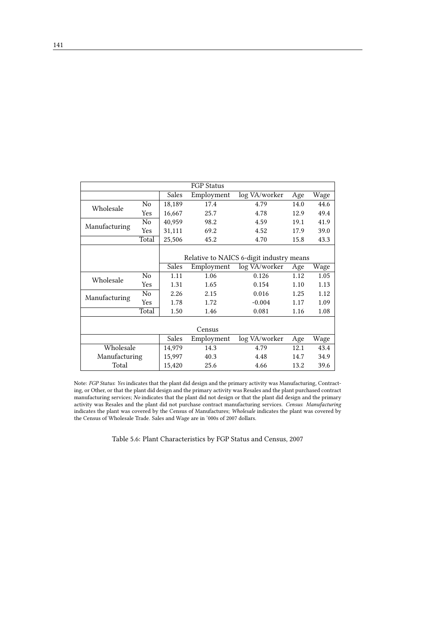|               |                |        | <b>FGP</b> Status |                                          |      |      |
|---------------|----------------|--------|-------------------|------------------------------------------|------|------|
|               |                | Sales  | Employment        | log VA/worker                            | Age  | Wage |
| Wholesale     | N <sub>0</sub> | 18,189 | 17.4              | 4.79                                     | 14.0 | 44.6 |
|               | Yes            | 16,667 | 25.7              | 4.78                                     | 12.9 | 49.4 |
| Manufacturing | N <sub>0</sub> | 40,959 | 98.2              | 4.59                                     | 19.1 | 41.9 |
|               | Yes            | 31,111 | 69.2              | 4.52                                     | 17.9 | 39.0 |
|               | Total          | 25,506 | 45.2              | 4.70                                     | 15.8 | 43.3 |
|               |                |        |                   | Relative to NAICS 6-digit industry means |      |      |
|               |                | Sales  | Employment        | log VA/worker                            | Age  | Wage |
| Wholesale     | No             | 1.11   | 1.06              | 0.126                                    | 1.12 | 1.05 |
|               | Yes            | 1.31   | 1.65              | 0.154                                    | 1.10 | 1.13 |
| Manufacturing | N <sub>0</sub> | 2.26   | 2.15              | 0.016                                    | 1.25 | 1.12 |
|               | Yes            | 1.78   | 1.72              | $-0.004$                                 | 1.17 | 1.09 |
|               | Total          | 1.50   | 1.46              | 0.081                                    | 1.16 | 1.08 |
|               |                |        | Census            |                                          |      |      |
|               |                | Sales  | Employment        | log VA/worker                            | Age  | Wage |
| Wholesale     |                | 14,979 | 14.3              | 4.79                                     | 12.1 | 43.4 |
| Manufacturing |                | 15,997 | 40.3              | 4.48                                     | 14.7 | 34.9 |
| Total         |                | 15,420 | 25.6              | 4.66                                     | 13.2 | 39.6 |

Note: FGP Status: Yes indicates that the plant did design and the primary activity was Manufacturing, Contracting, or Other, or that the plant did design and the primary activity was Resales and the plant purchased contract manufacturing services; No indicates that the plant did not design or that the plant did design and the primary activity was Resales and the plant did not purchase contract manufacturing services. Census: Manufacturing indicates the plant was covered by the Census of Manufactures; Wholesale indicates the plant was covered by the Census of Wholesale Trade. Sales and Wage are in '000s of 2007 dollars.

Table 5.6: Plant Characteristics by FGP Status and Census, 2007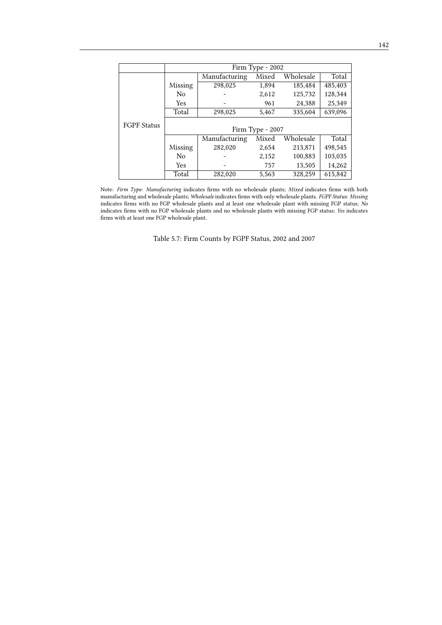|                    |                |               | Firm Type - 2002 |           |         |
|--------------------|----------------|---------------|------------------|-----------|---------|
|                    |                | Manufacturing | Mixed            | Wholesale | Total   |
|                    | Missing        | 298,025       | 1,894            | 185,484   | 485,403 |
|                    | N <sub>0</sub> |               | 2,612            | 125,732   | 128,344 |
|                    | Yes            |               | 961              | 24,388    | 25,349  |
|                    | Total          | 298,025       | 5,467            | 335,604   | 639,096 |
| <b>FGPF Status</b> |                |               |                  |           |         |
|                    |                |               | Firm Type - 2007 |           |         |
|                    |                | Manufacturing | Mixed            | Wholesale | Total   |
|                    | Missing        | 282,020       | 2,654            | 213,871   | 498,545 |
|                    | N <sub>0</sub> |               | 2,152            | 100,883   | 103,035 |
|                    | Yes            |               | 757              | 13,505    | 14,262  |
|                    | Total          | 282,020       | 5.563            | 328.259   | 615.842 |

Note: Firm Type: Manufacturing indicates firms with no wholesale plants; Mixed indicates firms with both manufacturing and wholesale plants; Wholesale indicates firms with only wholesale plants. FGPF Status: Missing indicates firms with no FGP wholesale plants and at least one wholesale plant with missing FGP status; No indicates firms with no FGP wholesale plants and no wholesale plants with missing FGP status; Yes indicates firms with at least one FGP wholesale plant.

Table 5.7: Firm Counts by FGPF Status, 2002 and 2007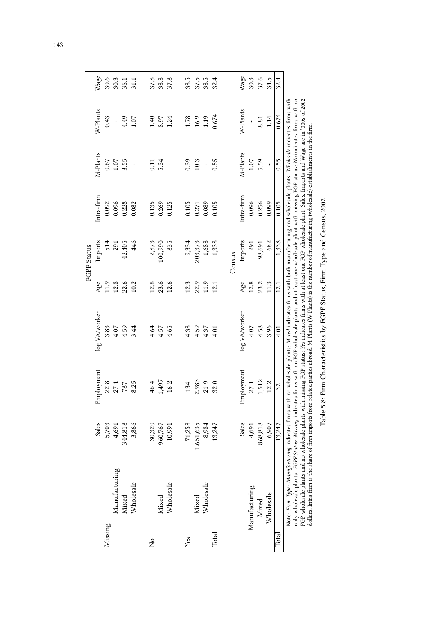|                                                                                                                                                                                                                                                                                                                                                                                                                   |           |            |                                                                                                                                                                                                                                                                                                         |      | FGPF Status |            |                   |              |      |
|-------------------------------------------------------------------------------------------------------------------------------------------------------------------------------------------------------------------------------------------------------------------------------------------------------------------------------------------------------------------------------------------------------------------|-----------|------------|---------------------------------------------------------------------------------------------------------------------------------------------------------------------------------------------------------------------------------------------------------------------------------------------------------|------|-------------|------------|-------------------|--------------|------|
|                                                                                                                                                                                                                                                                                                                                                                                                                   | Sales     | Employment | log VA/worker                                                                                                                                                                                                                                                                                           | Age  | Imports     | Intra-firm | M-Plants          | W-Plants     | Wage |
| Missing                                                                                                                                                                                                                                                                                                                                                                                                           | 5,703     | 22.8       | 3.83                                                                                                                                                                                                                                                                                                    | 11.9 | 514         | 0.092      | 0.67              | 0.43         | 30.6 |
| Manufacturing                                                                                                                                                                                                                                                                                                                                                                                                     | 4,691     | 27.1       | 4.07                                                                                                                                                                                                                                                                                                    | 12.8 | 291         | 0.096      | $1.07\,$          |              | 30.3 |
| Mixed                                                                                                                                                                                                                                                                                                                                                                                                             | 344,818   | 787        | 4.59                                                                                                                                                                                                                                                                                                    | 22.6 | 42,405      | 0.228      | 3.55              | 4.49         | 36.1 |
| Wholesale                                                                                                                                                                                                                                                                                                                                                                                                         | 3,866     | 8.25       | 3.44                                                                                                                                                                                                                                                                                                    | 10.2 | 446         | 0.082      |                   | 1.07         | 31.1 |
|                                                                                                                                                                                                                                                                                                                                                                                                                   |           |            |                                                                                                                                                                                                                                                                                                         |      |             |            |                   |              |      |
| ż                                                                                                                                                                                                                                                                                                                                                                                                                 | 30,320    | 46.4       | 4.64                                                                                                                                                                                                                                                                                                    | 12.8 | 2,873       | 0.135      | $\overline{0.11}$ | 1.40         | 37.8 |
| Mixed                                                                                                                                                                                                                                                                                                                                                                                                             | 960,767   | 1,497      | 4.57                                                                                                                                                                                                                                                                                                    | 23.6 | 100,990     | 0.269      | 5.34              | 8.97         | 38.8 |
| Wholesale                                                                                                                                                                                                                                                                                                                                                                                                         | 10,991    | 16.2       | 4.65                                                                                                                                                                                                                                                                                                    | 12.6 | 835         | 0.125      |                   | 1.24         | 37.8 |
|                                                                                                                                                                                                                                                                                                                                                                                                                   |           |            |                                                                                                                                                                                                                                                                                                         |      |             |            |                   |              |      |
| Yes                                                                                                                                                                                                                                                                                                                                                                                                               | 71,258    | 134        | 4.38                                                                                                                                                                                                                                                                                                    | 12.3 | 9,334       | 0.105      | 0.39              | 1.78         | 38.5 |
| Mixed                                                                                                                                                                                                                                                                                                                                                                                                             | 1,651,635 | 2,983      | 4.59                                                                                                                                                                                                                                                                                                    | 22.9 | 203,373     | 0.271      | 10.3              | 16.9         | 37.5 |
| Wholesale                                                                                                                                                                                                                                                                                                                                                                                                         | 8,984     | 21.9       | 4.37                                                                                                                                                                                                                                                                                                    | 11.9 | 1,688       | 0.089      |                   | 1.19         | 38.5 |
| $\rm Total$                                                                                                                                                                                                                                                                                                                                                                                                       | 13,247    | 32.0       | 4.01                                                                                                                                                                                                                                                                                                    | 12.1 | 1,338       | 0.105      | 0.55              | 0.674        | 32.4 |
|                                                                                                                                                                                                                                                                                                                                                                                                                   |           |            |                                                                                                                                                                                                                                                                                                         |      | Census      |            |                   |              |      |
|                                                                                                                                                                                                                                                                                                                                                                                                                   | Sales     | Employment | log VA/worker                                                                                                                                                                                                                                                                                           | Age  | Imports     | Intra-firm | M-Plants          | W-Plants     | Wage |
| Manufacturing                                                                                                                                                                                                                                                                                                                                                                                                     | 4,691     | 27.1       | 4.07                                                                                                                                                                                                                                                                                                    | 12.8 | 291         | 0.096      | 1.07              | $\mathbf{I}$ | 30.3 |
| Mixed                                                                                                                                                                                                                                                                                                                                                                                                             | 868,818   | 1,512      | 4.58                                                                                                                                                                                                                                                                                                    | 23.2 | 98,691      | 0.256      | 5.59              | 8.81         | 37.6 |
| Wholesale                                                                                                                                                                                                                                                                                                                                                                                                         | 6,907     | 12.2       | 3.96                                                                                                                                                                                                                                                                                                    | 11.3 | 682         | 0.099      | ï                 | 1.14         | 34.5 |
| Total                                                                                                                                                                                                                                                                                                                                                                                                             | 13,247    | 32         | 4.01                                                                                                                                                                                                                                                                                                    | 12.1 | 1,338       | 0.105      | 0.55              | 0.674        | 32.4 |
| only wholesale plants. FGPF Status: Missing indicates firms with no FGP wholesale plants and at least one wholesale plant with missing FGP status; No indicates firms with no<br>Note: Firm Type: Manufacturing indicates firms with no wholesale plants; Mixed indicates firms with both manufacturing and wholesale plants; Wholesale indicates firms with<br>FGP wholesale plants and no wholesale plants with |           |            | missing FGP status; Yes indicates firms with at least one FGP wholesale plant. Sales, Imports and Wage are in '000s of 2002<br>dollars. Intra-firm is the share of firm imports from related parties abroad. M-Plants (W-Plants) is the number of manufacturing (wholesale) establishments in the firm. |      |             |            |                   |              |      |

Table 5.8: Firm Characteristics by FGPF Status, Firm Type and Census, 2002 Table 5.8: Firm Characteristics by FGPF Status, Firm Type and Census, 2002